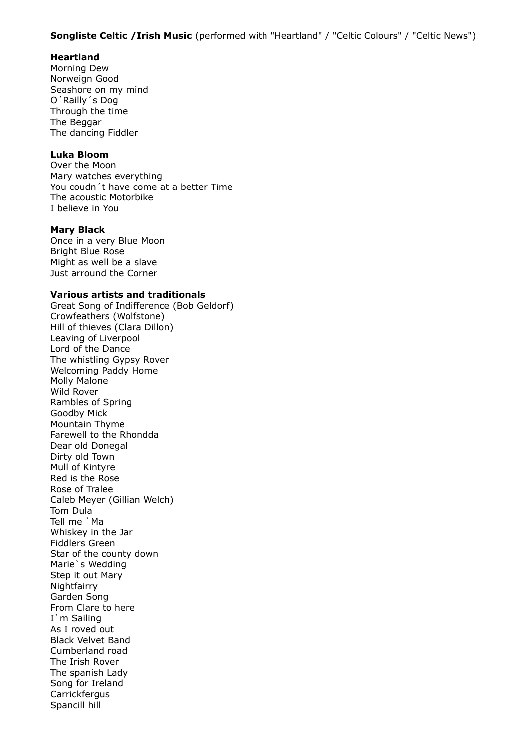### **Songliste Celtic /Irish Music** (performed with "Heartland" / "Celtic Colours" / "Celtic News")

# **Heartland**

Morning Dew Norweign Good Seashore on my mind O´Railly´s Dog Through the time The Beggar The dancing Fiddler

# **Luka Bloom**

Over the Moon Mary watches everything You coudn´t have come at a better Time The acoustic Motorbike I believe in You

### **Mary Black**

Once in a very Blue Moon Bright Blue Rose Might as well be a slave Just arround the Corner

### **Various artists and traditionals**

Great Song of Indifference (Bob Geldorf) Crowfeathers (Wolfstone) Hill of thieves (Clara Dillon) Leaving of Liverpool Lord of the Dance The whistling Gypsy Rover Welcoming Paddy Home Molly Malone Wild Rover Rambles of Spring Goodby Mick Mountain Thyme Farewell to the Rhondda Dear old Donegal Dirty old Town Mull of Kintyre Red is the Rose Rose of Tralee Caleb Meyer (Gillian Welch) Tom Dula Tell me `Ma Whiskey in the Jar Fiddlers Green Star of the county down Marie`s Wedding Step it out Mary **Nightfairry** Garden Song From Clare to here I`m Sailing As I roved out Black Velvet Band Cumberland road The Irish Rover The spanish Lady Song for Ireland **Carrickfergus** Spancill hill